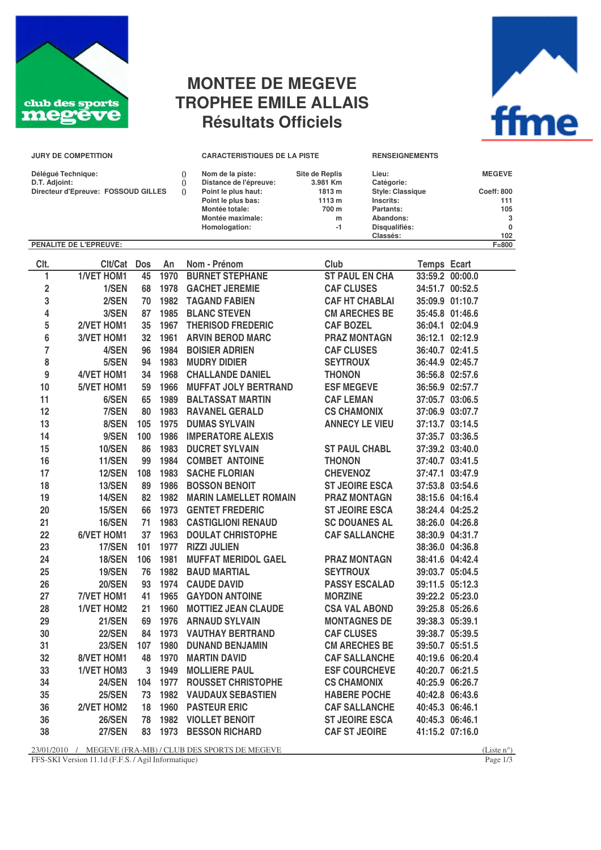

## **MONTEE DE MEGEVE TROPHEE EMILE ALLAIS Résultats Officiels**

| ffme |  |
|------|--|

| <b>JURY DE COMPETITION</b>                           |                               |     |      | <b>CARACTERISTIQUES DE LA PISTE</b>                       | <b>RENSEIGNEMENTS</b> |                                       |                 |               |
|------------------------------------------------------|-------------------------------|-----|------|-----------------------------------------------------------|-----------------------|---------------------------------------|-----------------|---------------|
| Déléqué Technique:                                   |                               |     |      | Nom de la piste:                                          | Site de Replis        | Lieu:                                 |                 | <b>MEGEVE</b> |
| D.T. Adjoint:<br>Directeur d'Epreuve: FOSSOUD GILLES |                               |     |      | Distance de l'épreuve:<br>Point le plus haut:<br>$\Omega$ | 3.981 Km<br>1813 m    | Catégorie:<br><b>Style: Classique</b> |                 | Coeff: 800    |
|                                                      |                               |     |      | Point le plus bas:                                        | 1113 m                | Inscrits:                             |                 | 111           |
|                                                      |                               |     |      | Montée totale:                                            | 700 m                 | Partants:                             |                 | 105           |
|                                                      |                               |     |      | Montée maximale:                                          | m                     | Abandons:                             |                 | 3             |
|                                                      |                               |     |      | Homologation:                                             | $-1$                  | Disqualifiés:                         |                 | 0             |
|                                                      |                               |     |      |                                                           |                       | Classés:                              |                 | 102           |
|                                                      | <b>PENALITE DE L'EPREUVE:</b> |     |      |                                                           |                       |                                       |                 | $F = 800$     |
|                                                      |                               |     |      |                                                           |                       |                                       |                 |               |
| CIt.                                                 | Clt/Cat                       | Dos | An   | Nom - Prénom                                              | Club                  |                                       | Temps Ecart     |               |
|                                                      | <b>1/VET HOM1</b>             | 45  | 1970 | <b>BURNET STEPHANE</b>                                    | <b>ST PAUL EN CHA</b> |                                       | 33:59.2 00:00.0 |               |

| ı.                      | <b>1/VEI HOM1</b> | 45  | 1970 | <b>BURNET STEPHANE</b>       | <b>SI PAUL EN CHA</b> | 33:59.2 00:00.0            |
|-------------------------|-------------------|-----|------|------------------------------|-----------------------|----------------------------|
| $\mathbf 2$             | 1/SEN             | 68  | 1978 | <b>GACHET JEREMIE</b>        | <b>CAF CLUSES</b>     | 34:51.7 00:52.5            |
| 3                       | 2/SEN             | 70  | 1982 | <b>TAGAND FABIEN</b>         | <b>CAF HT CHABLAI</b> | 35:09.9 01:10.7            |
| $\overline{\mathbf{4}}$ | 3/SEN             | 87  | 1985 | <b>BLANC STEVEN</b>          | <b>CM ARECHES BE</b>  | 35:45.8 01:46.6            |
| 5                       | 2/VET HOM1        | 35  | 1967 | <b>THERISOD FREDERIC</b>     | <b>CAF BOZEL</b>      | 36:04.1 02:04.9            |
| $\boldsymbol{6}$        | 3/VET HOM1        | 32  | 1961 | <b>ARVIN BEROD MARC</b>      | <b>PRAZ MONTAGN</b>   | 36:12.1 02:12.9            |
| $\overline{\mathbf{7}}$ | 4/SEN             | 96  |      | 1984 BOISIER ADRIEN          | <b>CAF CLUSES</b>     | 36:40.7 02:41.5            |
| 8                       | 5/SEN             | 94  | 1983 | <b>MUDRY DIDIER</b>          | <b>SEYTROUX</b>       | 36:44.9 02:45.7            |
| $\boldsymbol{9}$        | 4/VET HOM1        | 34  | 1968 | <b>CHALLANDE DANIEL</b>      | <b>THONON</b>         | 36:56.8 02:57.6            |
| 10                      | 5/VET HOM1        | 59  | 1966 | <b>MUFFAT JOLY BERTRAND</b>  | <b>ESF MEGEVE</b>     | 36:56.9 02:57.7            |
| 11                      | 6/SEN             | 65  | 1989 | <b>BALTASSAT MARTIN</b>      | <b>CAF LEMAN</b>      | 37:05.7 03:06.5            |
| 12                      | 7/SEN             | 80  | 1983 | <b>RAVANEL GERALD</b>        | <b>CS CHAMONIX</b>    | 37:06.9 03:07.7            |
| 13                      | 8/SEN             | 105 | 1975 | <b>DUMAS SYLVAIN</b>         | <b>ANNECY LE VIEU</b> | 37:13.7 03:14.5            |
| 14                      | 9/SEN             | 100 | 1986 | <b>IMPERATORE ALEXIS</b>     |                       | 37:35.7 03:36.5            |
| 15                      | <b>10/SEN</b>     | 86  | 1983 | <b>DUCRET SYLVAIN</b>        | <b>ST PAUL CHABL</b>  | 37:39.2 03:40.0            |
| 16                      | 11/SEN            | 99  | 1984 | <b>COMBET ANTOINE</b>        | <b>THONON</b>         | 37:40.7 03:41.5            |
| 17                      | <b>12/SEN</b>     | 108 | 1983 | <b>SACHE FLORIAN</b>         | <b>CHEVENOZ</b>       | 37:47.1 03:47.9            |
| 18                      | <b>13/SEN</b>     | 89  | 1986 | <b>BOSSON BENOIT</b>         | <b>ST JEOIRE ESCA</b> | 37:53.8 03:54.6            |
| 19                      | 14/SEN            | 82  | 1982 | <b>MARIN LAMELLET ROMAIN</b> | <b>PRAZ MONTAGN</b>   | 38:15.6 04:16.4            |
| 20                      | <b>15/SEN</b>     | 66  | 1973 | <b>GENTET FREDERIC</b>       | <b>ST JEOIRE ESCA</b> | 38:24.4 04:25.2            |
| 21                      | <b>16/SEN</b>     | 71  | 1983 | <b>CASTIGLIONI RENAUD</b>    | <b>SC DOUANES AL</b>  | 38:26.0 04:26.8            |
| 22                      | 6/VET HOM1        | 37  | 1963 | <b>DOULAT CHRISTOPHE</b>     | <b>CAF SALLANCHE</b>  | 38:30.9 04:31.7            |
| 23                      | <b>17/SEN</b>     | 101 | 1977 | <b>RIZZI JULIEN</b>          |                       | 38:36.0 04:36.8            |
| 24                      | <b>18/SEN</b>     | 106 | 1981 | <b>MUFFAT MERIDOL GAEL</b>   | <b>PRAZ MONTAGN</b>   | 38:41.6 04:42.4            |
| 25                      | <b>19/SEN</b>     | 76  |      | 1982 BAUD MARTIAL            | <b>SEYTROUX</b>       | 39:03.7 05:04.5            |
| 26                      | <b>20/SEN</b>     | 93  |      | 1974 CAUDE DAVID             | <b>PASSY ESCALAD</b>  | 39:11.5 05:12.3            |
| 27                      | 7/VET HOM1        | 41  | 1965 | <b>GAYDON ANTOINE</b>        | <b>MORZINE</b>        | 39:22.2 05:23.0            |
| 28                      | <b>1/VET HOM2</b> | 21  | 1960 | <b>MOTTIEZ JEAN CLAUDE</b>   | <b>CSA VAL ABOND</b>  | 39:25.8 05:26.6            |
| 29                      | <b>21/SEN</b>     | 69  | 1976 | <b>ARNAUD SYLVAIN</b>        | <b>MONTAGNES DE</b>   | 39:38.3 05:39.1            |
| 30                      | <b>22/SEN</b>     | 84  | 1973 | <b>VAUTHAY BERTRAND</b>      | <b>CAF CLUSES</b>     | 39:38.7 05:39.5            |
| 31                      | <b>23/SEN</b>     | 107 | 1980 | <b>DUNAND BENJAMIN</b>       | <b>CM ARECHES BE</b>  | 39:50.7 05:51.5            |
| 32                      | 8/VET HOM1        | 48  | 1970 | <b>MARTIN DAVID</b>          | <b>CAF SALLANCHE</b>  | 40:19.6 06:20.4            |
| 33                      | <b>1/VET HOM3</b> | 3   | 1949 | <b>MOLLIERE PAUL</b>         | <b>ESF COURCHEVE</b>  | 40:20.7 06:21.5            |
| 34                      | <b>24/SEN</b>     | 104 | 1977 | <b>ROUSSET CHRISTOPHE</b>    | <b>CS CHAMONIX</b>    | 40:25.9 06:26.7            |
| 35                      | <b>25/SEN</b>     | 73  | 1982 | <b>VAUDAUX SEBASTIEN</b>     | <b>HABERE POCHE</b>   | 40:42.8 06:43.6            |
| 36                      | 2/VET HOM2        | 18  | 1960 | <b>PASTEUR ERIC</b>          | <b>CAF SALLANCHE</b>  | 40:45.3 06:46.1            |
| 36                      | <b>26/SEN</b>     | 78  | 1982 | <b>VIOLLET BENOIT</b>        | <b>ST JEOIRE ESCA</b> | 40:45.3 06:46.1            |
| 38                      | <b>27/SEN</b>     | 83  | 1973 | <b>BESSON RICHARD</b>        | <b>CAF ST JEOIRE</b>  | 41:15.2 07:16.0            |
|                         |                   |     |      |                              |                       | $\alpha$ $\alpha$ $\alpha$ |

 $23/01/2010$  / MEGEVE (FRA-MB) / CLUB DES SPORTS DE MEGEVE (Liste n°) (Liste n°)

FFS-SKI Version 11.1d (F.F.S. / Agil Informatique) Page 1/3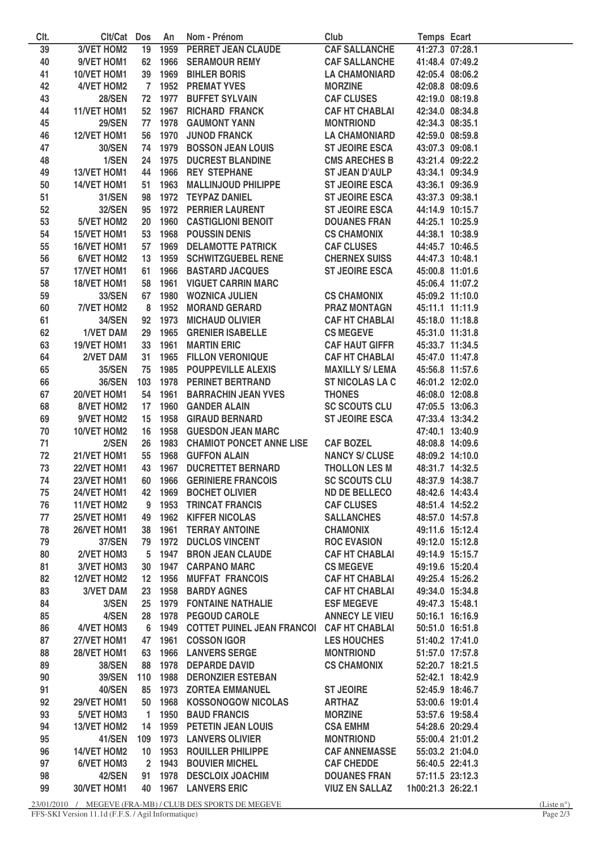| Clt. | Cit/Cat Dos        |                  | An      | Nom - Prénom                              | Club                   | <b>Temps Ecart</b> |                 |
|------|--------------------|------------------|---------|-------------------------------------------|------------------------|--------------------|-----------------|
| 39   | <b>3/VET HOM2</b>  |                  |         | 19 1959 PERRET JEAN CLAUDE                | <b>CAF SALLANCHE</b>   |                    | 41:27.3 07:28.1 |
| 40   | 9/VET HOM1         | 62               |         | 1966 SERAMOUR REMY                        | <b>CAF SALLANCHE</b>   |                    | 41:48.4 07:49.2 |
| 41   | 10/VET HOM1        | 39               | 1969    | <b>BIHLER BORIS</b>                       | <b>LA CHAMONIARD</b>   |                    | 42:05.4 08:06.2 |
| 42   | <b>4/VET HOM2</b>  | $7\phantom{0}$   |         | <b>1952 PREMAT YVES</b>                   | <b>MORZINE</b>         | 42:08.8 08:09.6    |                 |
| 43   | <b>28/SEN</b>      |                  |         | 72 1977 BUFFET SYLVAIN                    | <b>CAF CLUSES</b>      | 42:19.0 08:19.8    |                 |
| 44   | 11/VET HOM1        | 52               | 1967    | <b>RICHARD FRANCK</b>                     | <b>CAF HT CHABLAI</b>  | 42:34.0 08:34.8    |                 |
| 45   | <b>29/SEN</b>      | 77               | 1978    | <b>GAUMONT YANN</b>                       | <b>MONTRIOND</b>       | 42:34.3 08:35.1    |                 |
| 46   | 12/VET HOM1        | 56               | 1970    | <b>JUNOD FRANCK</b>                       | <b>LA CHAMONIARD</b>   | 42:59.0 08:59.8    |                 |
| 47   | <b>30/SEN</b>      | 74               | 1979    | <b>BOSSON JEAN LOUIS</b>                  | <b>ST JEOIRE ESCA</b>  | 43:07.3 09:08.1    |                 |
| 48   | 1/SEN              | 24               | 1975    | <b>DUCREST BLANDINE</b>                   | <b>CMS ARECHES B</b>   |                    | 43:21.4 09:22.2 |
| 49   | 13/VET HOM1        | 44               | 1966    | <b>REY STEPHANE</b>                       | <b>ST JEAN D'AULP</b>  | 43:34.1 09:34.9    |                 |
| 50   | 14/VET HOM1        | 51               | 1963    | <b>MALLINJOUD PHILIPPE</b>                | <b>ST JEOIRE ESCA</b>  | 43:36.1 09:36.9    |                 |
| 51   | <b>31/SEN</b>      | 98               |         | 1972 TEYPAZ DANIEL                        | <b>ST JEOIRE ESCA</b>  | 43:37.3 09:38.1    |                 |
| 52   | <b>32/SEN</b>      | 95               |         | <b>1972 PERRIER LAURENT</b>               | <b>ST JEOIRE ESCA</b>  |                    | 44:14.9 10:15.7 |
| 53   | <b>5/VET HOM2</b>  | 20               | 1960    | <b>CASTIGLIONI BENOIT</b>                 | <b>DOUANES FRAN</b>    |                    | 44:25.1 10:25.9 |
| 54   | 15/VET HOM1        | 53               | 1968    | <b>POUSSIN DENIS</b>                      | <b>CS CHAMONIX</b>     |                    | 44:38.1 10:38.9 |
| 55   | 16/VET HOM1        | 57               | 1969    | <b>DELAMOTTE PATRICK</b>                  | <b>CAF CLUSES</b>      | 44:45.7 10:46.5    |                 |
| 56   | <b>6/VET HOM2</b>  | 13               | 1959    | <b>SCHWITZGUEBEL RENE</b>                 | <b>CHERNEX SUISS</b>   | 44:47.3 10:48.1    |                 |
| 57   | 17/VET HOM1        | 61               | 1966    | <b>BASTARD JACQUES</b>                    | <b>ST JEOIRE ESCA</b>  | 45:00.8 11:01.6    |                 |
| 58   | 18/VET HOM1        | 58               | 1961    | <b>VIGUET CARRIN MARC</b>                 |                        |                    | 45:06.4 11:07.2 |
| 59   | <b>33/SEN</b>      | 67               | 1980    | <b>WOZNICA JULIEN</b>                     | <b>CS CHAMONIX</b>     |                    | 45:09.2 11:10.0 |
| 60   | 7/VET HOM2         | 8                | 1952    | <b>MORAND GERARD</b>                      | <b>PRAZ MONTAGN</b>    |                    | 45:11.1 11:11.9 |
| 61   | <b>34/SEN</b>      | 92               | 1973    | <b>MICHAUD OLIVIER</b>                    | <b>CAF HT CHABLAI</b>  |                    | 45:18.0 11:18.8 |
| 62   | <b>1/VET DAM</b>   | 29               | 1965    | <b>GRENIER ISABELLE</b>                   | <b>CS MEGEVE</b>       |                    | 45:31.0 11:31.8 |
| 63   | 19/VET HOM1        | 33               | 1961    | <b>MARTIN ERIC</b>                        | <b>CAF HAUT GIFFR</b>  |                    | 45:33.7 11:34.5 |
| 64   | 2/VET DAM          | 31               | 1965    | <b>FILLON VERONIQUE</b>                   | <b>CAF HT CHABLAI</b>  | 45:47.0 11:47.8    |                 |
| 65   | <b>35/SEN</b>      | 75               |         | <b>1985 POUPPEVILLE ALEXIS</b>            | <b>MAXILLY S/ LEMA</b> | 45:56.8 11:57.6    |                 |
| 66   | <b>36/SEN</b>      | 103              |         | <b>1978 PERINET BERTRAND</b>              | <b>ST NICOLAS LA C</b> |                    | 46:01.2 12:02.0 |
| 67   | 20/VET HOM1        | 54               | 1961    | <b>BARRACHIN JEAN YVES</b>                | <b>THONES</b>          |                    | 46:08.0 12:08.8 |
| 68   | 8/VET HOM2         | 17 <sup>17</sup> | 1960    | <b>GANDER ALAIN</b>                       | <b>SC SCOUTS CLU</b>   |                    | 47:05.5 13:06.3 |
| 69   | 9/VET HOM2         | 15               | 1958    | <b>GIRAUD BERNARD</b>                     | <b>ST JEOIRE ESCA</b>  |                    | 47:33.4 13:34.2 |
| 70   | 10/VET HOM2        | 16               |         | 1958 GUESDON JEAN MARC                    |                        |                    | 47:40.1 13:40.9 |
| 71   | 2/SEN              | 26               |         | <b>1983 CHAMIOT PONCET ANNE LISE</b>      | <b>CAF BOZEL</b>       |                    | 48:08.8 14:09.6 |
| 72   | 21/VET HOM1        | 55               | 1968    | <b>GUFFON ALAIN</b>                       | <b>NANCY S/ CLUSE</b>  |                    | 48:09.2 14:10.0 |
| 73   | 22/VET HOM1        | 43               | 1967    | <b>DUCRETTET BERNARD</b>                  | <b>THOLLON LES M</b>   | 48:31.7 14:32.5    |                 |
| 74   | 23/VET HOM1        |                  | 60 1966 | <b>GERINIERE FRANCOIS</b>                 | <b>SC SCOUTS CLU</b>   | 48:37.9 14:38.7    |                 |
| 75   | 24/VET HOM1        | 42               | 1969    | <b>BOCHET OLIVIER</b>                     | <b>ND DE BELLECO</b>   | 48:42.6 14:43.4    |                 |
| 76   | 11/VET HOM2        | 9                | 1953    | <b>TRINCAT FRANCIS</b>                    | <b>CAF CLUSES</b>      |                    | 48:51.4 14:52.2 |
| 77   | 25/VET HOM1        | 49               | 1962    | <b>KIFFER NICOLAS</b>                     | <b>SALLANCHES</b>      |                    | 48:57.0 14:57.8 |
| 78   | 26/VET HOM1        | 38               | 1961    | <b>TERRAY ANTOINE</b>                     | <b>CHAMONIX</b>        | 49:11.6 15:12.4    |                 |
| 79   | <b>37/SEN</b>      | 79               | 1972    | <b>DUCLOS VINCENT</b>                     | <b>ROC EVASION</b>     |                    | 49:12.0 15:12.8 |
| 80   | 2/VET HOM3         | 5                | 1947    | <b>BRON JEAN CLAUDE</b>                   | <b>CAF HT CHABLAI</b>  |                    | 49:14.9 15:15.7 |
| 81   | <b>3/VET HOM3</b>  | 30               | 1947    | <b>CARPANO MARC</b>                       | <b>CS MEGEVE</b>       | 49:19.6 15:20.4    |                 |
| 82   | 12/VET HOM2        | 12 <sup>12</sup> | 1956    | <b>MUFFAT FRANCOIS</b>                    | <b>CAF HT CHABLAI</b>  |                    | 49:25.4 15:26.2 |
| 83   | <b>3/VET DAM</b>   | 23               | 1958    | <b>BARDY AGNES</b>                        | <b>CAF HT CHABLAI</b>  |                    | 49:34.0 15:34.8 |
| 84   | 3/SEN              | 25               | 1979    | <b>FONTAINE NATHALIE</b>                  | <b>ESF MEGEVE</b>      | 49:47.3 15:48.1    |                 |
| 85   | 4/SEN              | 28               | 1978    | <b>PEGOUD CAROLE</b>                      | <b>ANNECY LE VIEU</b>  |                    | 50:16.1 16:16.9 |
| 86   | <b>4/VET HOM3</b>  | 6                | 1949    | COTTET PUINEL JEAN FRANCOI CAF HT CHABLAI |                        |                    | 50:51.0 16:51.8 |
| 87   | 27/VET HOM1        | 47               | 1961    | <b>COSSON IGOR</b>                        | <b>LES HOUCHES</b>     |                    | 51:40.2 17:41.0 |
| 88   | 28/VET HOM1        | 63               | 1966    | <b>LANVERS SERGE</b>                      | <b>MONTRIOND</b>       |                    | 51:57.0 17:57.8 |
| 89   | <b>38/SEN</b>      | 88               | 1978    | <b>DEPARDE DAVID</b>                      | <b>CS CHAMONIX</b>     |                    | 52:20.7 18:21.5 |
| 90   | <b>39/SEN</b>      | 110              | 1988    | <b>DERONZIER ESTEBAN</b>                  |                        |                    | 52:42.1 18:42.9 |
| 91   | <b>40/SEN</b>      | 85               | 1973    | <b>ZORTEA EMMANUEL</b>                    | <b>ST JEOIRE</b>       |                    | 52:45.9 18:46.7 |
| 92   | 29/VET HOM1        | 50               | 1968    | <b>KOSSONOGOW NICOLAS</b>                 | <b>ARTHAZ</b>          |                    | 53:00.6 19:01.4 |
| 93   | <b>5/VET HOM3</b>  | $\mathbf{1}$     | 1950    | <b>BAUD FRANCIS</b>                       | <b>MORZINE</b>         |                    | 53:57.6 19:58.4 |
| 94   | <b>13/VET HOM2</b> | 14               | 1959    | <b>PETETIN JEAN LOUIS</b>                 | <b>CSA EMHM</b>        |                    | 54:28.6 20:29.4 |
| 95   | 41/SEN             | 109              | 1973    | <b>LANVERS OLIVIER</b>                    | <b>MONTRIOND</b>       |                    | 55:00.4 21:01.2 |
|      |                    |                  |         |                                           |                        |                    |                 |
| 96   | <b>14/VET HOM2</b> |                  |         | 10 1953 ROUILLER PHILIPPE                 | <b>CAF ANNEMASSE</b>   |                    | 55:03.2 21:04.0 |
| 97   | <b>6/VET HOM3</b>  |                  |         | 2 1943 BOUVIER MICHEL                     | <b>CAF CHEDDE</b>      |                    | 56:40.5 22:41.3 |
| 98   | 42/SEN             | 91               |         | 1978 DESCLOIX JOACHIM                     | <b>DOUANES FRAN</b>    |                    | 57:11.5 23:12.3 |
| 99   | 30/VET HOM1        |                  |         | 40 1967 LANVERS ERIC                      | <b>VIUZ EN SALLAZ</b>  | 1h00:21.3 26:22.1  |                 |